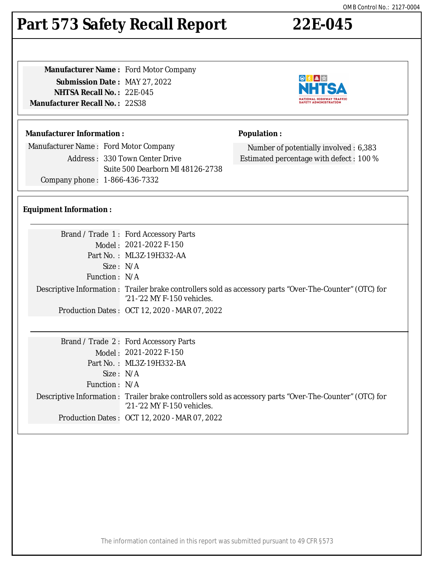# **Part 573 Safety Recall Report 22E-045**

| <b>Manufacturer Name</b> , Ford Motor Company |  |
|-----------------------------------------------|--|
| <b>Submission Date: MAY 27, 2022</b>          |  |
| <b>NHTSA Recall No.: 22E-045</b>              |  |
| <b>Manufacturer Recall No. :</b> 22S38        |  |
|                                               |  |

**Manufacturer Name :** Ford Motor Company

#### **Manufacturer Information :**

Manufacturer Name : Ford Motor Company Address : 330 Town Center Drive Suite 500 Dearborn MI 48126-2738 Company phone : 1-866-436-7332

#### **Equipment Information :**

|                  | Brand / Trade 1: Ford Accessory Parts                                                                                                  |
|------------------|----------------------------------------------------------------------------------------------------------------------------------------|
|                  | Model: 2021-2022 F-150                                                                                                                 |
|                  | Part No.: ML3Z-19H332-AA                                                                                                               |
| Size: N/A        |                                                                                                                                        |
| Function : $N/A$ |                                                                                                                                        |
|                  | Descriptive Information : Trailer brake controllers sold as accessory parts "Over-The-Counter" (OTC) for<br>'21-'22 MY F-150 vehicles. |
|                  | Production Dates: OCT 12, 2020 - MAR 07, 2022                                                                                          |
|                  |                                                                                                                                        |
|                  |                                                                                                                                        |
|                  | Brand / Trade 2: Ford Accessory Parts                                                                                                  |
|                  | Model: 2021-2022 F-150                                                                                                                 |
|                  | Part No.: ML3Z-19H332-BA                                                                                                               |
| Size: $N/A$      |                                                                                                                                        |
| Function : $N/A$ |                                                                                                                                        |
|                  | Descriptive Information : Trailer brake controllers sold as accessory parts "Over-The-Counter" (OTC) for<br>'21-'22 MY F-150 vehicles. |
|                  | Production Dates: OCT 12, 2020 - MAR 07, 2022                                                                                          |
|                  |                                                                                                                                        |





日本風☆

Number of potentially involved : 6,383 Estimated percentage with defect : 100 %

**Population :**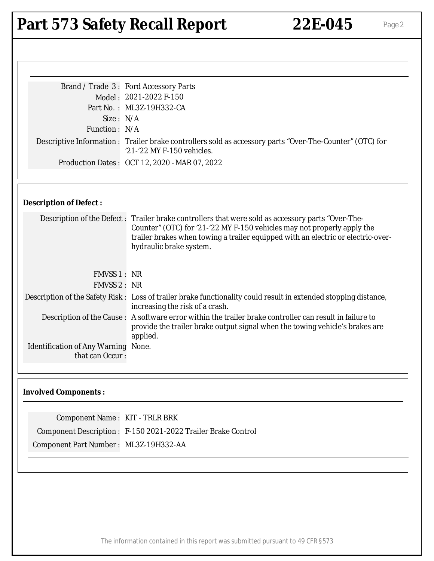# Part 573 Safety Recall Report 22E-045 Page 2

| Brand / Trade 3: Ford Accessory Parts                                                                                                                                                                                                                                                       |  |  |
|---------------------------------------------------------------------------------------------------------------------------------------------------------------------------------------------------------------------------------------------------------------------------------------------|--|--|
| Model: 2021-2022 F-150                                                                                                                                                                                                                                                                      |  |  |
| Part No.: ML3Z-19H332-CA                                                                                                                                                                                                                                                                    |  |  |
| Size: $N/A$                                                                                                                                                                                                                                                                                 |  |  |
| Function: N/A                                                                                                                                                                                                                                                                               |  |  |
| Descriptive Information : Trailer brake controllers sold as accessory parts "Over-The-Counter" (OTC) for<br>'21-'22 MY F-150 vehicles.                                                                                                                                                      |  |  |
| Production Dates: OCT 12, 2020 - MAR 07, 2022                                                                                                                                                                                                                                               |  |  |
|                                                                                                                                                                                                                                                                                             |  |  |
| Description of the Defect: Trailer brake controllers that were sold as accessory parts "Over-The-<br>Counter" (OTC) for '21-'22 MY F-150 vehicles may not properly apply the<br>trailer brakes when towing a trailer equipped with an electric or electric-over-<br>hydraulic brake system. |  |  |
| FMVSS 1: NR<br>FMVSS 2: NR                                                                                                                                                                                                                                                                  |  |  |
| Description of the Safety Risk : Loss of trailer brake functionality could result in extended stopping distance,<br>increasing the risk of a crash.                                                                                                                                         |  |  |
| Description of the Cause : A software error within the trailer brake controller can result in failure to<br>provide the trailer brake output signal when the towing vehicle's brakes are<br>applied.                                                                                        |  |  |
| None.                                                                                                                                                                                                                                                                                       |  |  |
| <b>Involved Components:</b>                                                                                                                                                                                                                                                                 |  |  |
| <b>Component Name: KIT - TRLR BRK</b>                                                                                                                                                                                                                                                       |  |  |
| Component Description : F-150 2021-2022 Trailer Brake Control                                                                                                                                                                                                                               |  |  |
| Component Part Number: ML3Z-19H332-AA                                                                                                                                                                                                                                                       |  |  |
|                                                                                                                                                                                                                                                                                             |  |  |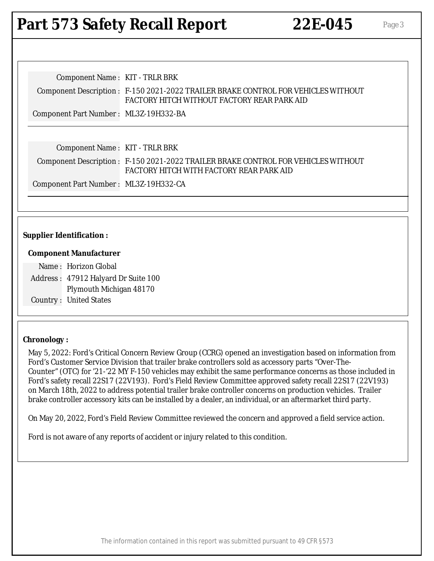## **Part 573 Safety Recall Report 22E-045** Page 3

| <b>Component Name: KIT - TRLR BRK</b> |                                                                                                                                  |
|---------------------------------------|----------------------------------------------------------------------------------------------------------------------------------|
|                                       | Component Description: F-150 2021-2022 TRAILER BRAKE CONTROL FOR VEHICLES WITHOUT<br>FACTORY HITCH WITHOUT FACTORY REAR PARK AID |
| Component Part Number: ML3Z-19H332-BA |                                                                                                                                  |
|                                       |                                                                                                                                  |

| Component Name: KIT - TRLR BRK        |                                                                                                                                |
|---------------------------------------|--------------------------------------------------------------------------------------------------------------------------------|
|                                       | Component Description : F-150 2021-2022 TRAILER BRAKE CONTROL FOR VEHICLES WITHOUT<br>FACTORY HITCH WITH FACTORY REAR PARK AID |
| Component Part Number: ML3Z-19H332-CA |                                                                                                                                |

#### **Supplier Identification :**

#### **Component Manufacturer**

Name : Horizon Global Address : 47912 Halyard Dr Suite 100 Plymouth Michigan 48170 Country : United States

#### **Chronology :**

May 5, 2022: Ford's Critical Concern Review Group (CCRG) opened an investigation based on information from Ford's Customer Service Division that trailer brake controllers sold as accessory parts "Over-The-Counter" (OTC) for '21-'22 MY F-150 vehicles may exhibit the same performance concerns as those included in Ford's safety recall 22S17 (22V193). Ford's Field Review Committee approved safety recall 22S17 (22V193) on March 18th, 2022 to address potential trailer brake controller concerns on production vehicles. Trailer brake controller accessory kits can be installed by a dealer, an individual, or an aftermarket third party.

On May 20, 2022, Ford's Field Review Committee reviewed the concern and approved a field service action.

Ford is not aware of any reports of accident or injury related to this condition.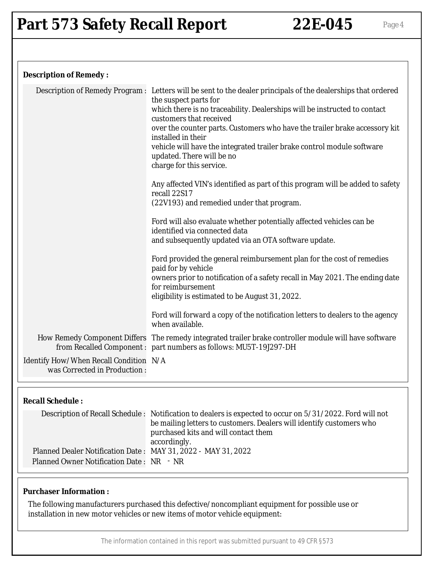### **Description of Remedy :**

| Description of Remedy Program : Letters will be sent to the dealer principals of the dealerships that ordered<br>the suspect parts for<br>which there is no traceability. Dealerships will be instructed to contact<br>customers that received       |
|------------------------------------------------------------------------------------------------------------------------------------------------------------------------------------------------------------------------------------------------------|
| over the counter parts. Customers who have the trailer brake accessory kit<br>installed in their<br>vehicle will have the integrated trailer brake control module software<br>updated. There will be no<br>charge for this service.                  |
| Any affected VIN's identified as part of this program will be added to safety<br>recall 22S17<br>(22V193) and remedied under that program.                                                                                                           |
| Ford will also evaluate whether potentially affected vehicles can be<br>identified via connected data<br>and subsequently updated via an OTA software update.                                                                                        |
| Ford provided the general reimbursement plan for the cost of remedies<br>paid for by vehicle<br>owners prior to notification of a safety recall in May 2021. The ending date<br>for reimbursement<br>eligibility is estimated to be August 31, 2022. |
| Ford will forward a copy of the notification letters to dealers to the agency<br>when available.                                                                                                                                                     |
| How Remedy Component Differs The remedy integrated trailer brake controller module will have software<br>from Recalled Component : part numbers as follows: MU5T-19J297-DH                                                                           |
| Identify How/When Recall Condition N/A                                                                                                                                                                                                               |
|                                                                                                                                                                                                                                                      |

#### **Recall Schedule :**

|                                                               | Description of Recall Schedule : Notification to dealers is expected to occur on 5/31/2022. Ford will not<br>be mailing letters to customers. Dealers will identify customers who<br>purchased kits and will contact them<br>accordingly. |
|---------------------------------------------------------------|-------------------------------------------------------------------------------------------------------------------------------------------------------------------------------------------------------------------------------------------|
| Planned Dealer Notification Date: MAY 31, 2022 - MAY 31, 2022 |                                                                                                                                                                                                                                           |
| Planned Owner Notification Date: NR - NR                      |                                                                                                                                                                                                                                           |

#### **Purchaser Information :**

The following manufacturers purchased this defective/noncompliant equipment for possible use or installation in new motor vehicles or new items of motor vehicle equipment: